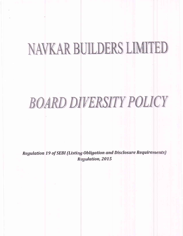# NAVKAR BUILDERS LIMITED

# **BOARD DIVERSITY POLICY**

Regulation 19 of SEBI (Listing Obligation and Disclosure Requirements) **Regulation, 2015**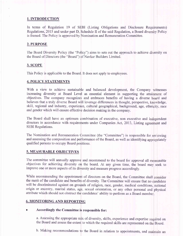### 1. INTRODUCTION

In terms of Regulation 19 of SEBI (Listing Obligations and Disclosure Requirements) Regulations, 2015 and under part D, Schedule II of the said Regulation, a Board diversity Policy is framed. The Policy is approved by Nomination and Remuneration Committee.

#### 2. PURPOSE

The Board Diversity Policy (the "Policy") aims to sets out the approach to achieve diversity on the Board of Directors (the "Board") of Navkar Builders Limited.

#### 3. SCOPE

This Policy is applicable to the Board. It does not apply to employees.

#### 4. POLICY STATEMENTS

With a view to achieve sustainable and balanced development, the Company witnesses increasing diversity at Board Level as essential element in supporting the attainment of objectives. The company recognizes and embraces benefits of having a diverse board and believes that a truly diverse Board will leverage differences in thought, perspective, knowledge, skill, regional and industry, experience, cultural geographical, background, age, ethnicity, race and gender which will ensure effective decision making in the company.

The Board shall have an optimum combination of executive, non executive and independent directors in accordance with requirements under Companies Act, 2013, Listing agreement and SEBI Regulations.

The Nomination and Remuneration Committee (the "Committee") is responsible for reviewing and assessing the composition and performance of the Board, as well as identifying appropriately qualified persons to occupy Board positions.

#### 5. MEASURABLE OBJECTIVES

The committee will annually approve and recommend to the board for approval all measurable objectives for achieving diversity on the board. At any given time. the board ma seek to improve one or more aspects of its diversity and measure progress accordingly.

While recommending the appointment of directors on the Board, the Committee shall consider the merit of the candidate and benefits of diversity. The Committee will ensure that no candidate will be discriminated against on grounds of religion, race, gender, medical conditions, national origin or ancestry, marital status, age, sexual orientation, or any other personal and physical attribute which should not obstruct the candidates' ability to perform as a Board membe

## 6. MONITORING AND REPORTING

### Accordingly the Committee is responsible for:

a. Assessing the appropriate mix of diversity, skills, experience and expertise required on the Board and assess the extent to which the required skills are represented on Board.

b. Making recommendations to the Board in relation to appointments, and maintain an